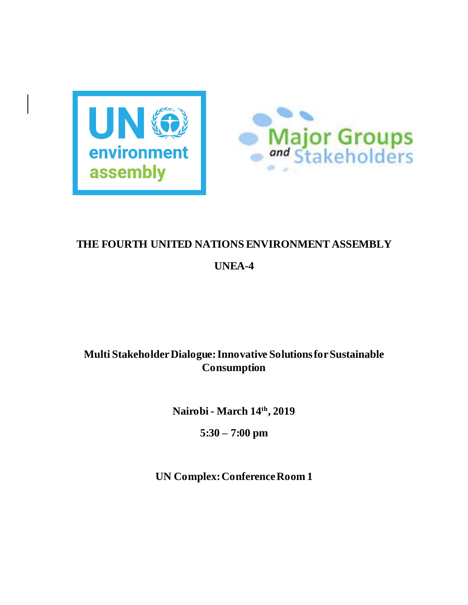



# **THE FOURTH UNITED NATIONS ENVIRONMENT ASSEMBLY**

# **UNEA-4**

# **Multi Stakeholder Dialogue: Innovative Solutions for Sustainable Consumption**

**Nairobi - March 14th, 2019**

**5:30 – 7:00 pm**

**UN Complex: Conference Room 1**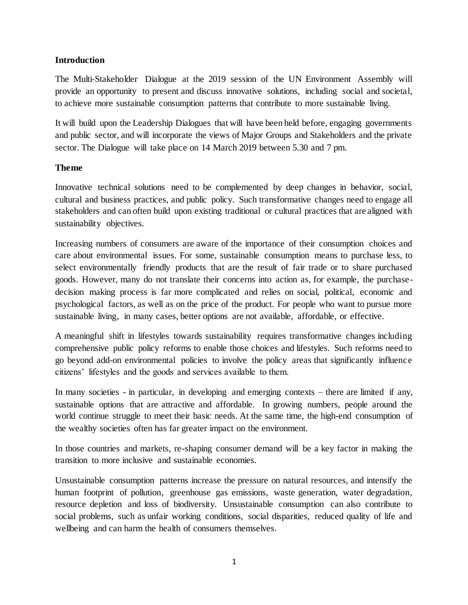### **Introduction**

The Multi-Stakeholder Dialogue at the 2019 session of the UN Environment Assembly will provide an opportunity to present and discuss innovative solutions, including social and societal, to achieve more sustainable consumption patterns that contribute to more sustainable living.

It will build upon the Leadership Dialogues that will have been held before, engaging governments and public sector, and will incorporate the views of Major Groups and Stakeholders and the private sector. The Dialogue will take place on 14 March 2019 between 5.30 and 7 pm.

## **Theme**

Innovative technical solutions need to be complemented by deep changes in behavior, social, cultural and business practices, and public policy. Such transformative changes need to engage all stakeholders and can often build upon existing traditional or cultural practices that are aligned with sustainability objectives.

Increasing numbers of consumers are aware of the importance of their consumption choices and care about environmental issues. For some, sustainable consumption means to purchase less, to select environmentally friendly products that are the result of fair trade or to share purchased goods. However, many do not translate their concerns into action as, for example, the purchasedecision making process is far more complicated and relies on social, political, economic and psychological factors, as well as on the price of the product. For people who want to pursue more sustainable living, in many cases, better options are not available, affordable, or effective.

A meaningful shift in lifestyles towards sustainability requires transformative changes including comprehensive public policy reforms to enable those choices and lifestyles. Such reforms need to go beyond add-on environmental policies to involve the policy areas that significantly influence citizens' lifestyles and the goods and services available to them.

In many societies - in particular, in developing and emerging contexts – there are limited if any, sustainable options that are attractive and affordable. In growing numbers, people around the world continue struggle to meet their basic needs. At the same time, the high-end consumption of the wealthy societies often has far greater impact on the environment.

In those countries and markets, re-shaping consumer demand will be a key factor in making the transition to more inclusive and sustainable economies.

Unsustainable consumption patterns increase the pressure on natural resources, and intensify the human footprint of pollution, greenhouse gas emissions, waste generation, water degradation, resource depletion and loss of biodiversity. Unsustainable consumption can also contribute to social problems, such as unfair working conditions, social disparities, reduced quality of life and wellbeing and can harm the health of consumers themselves.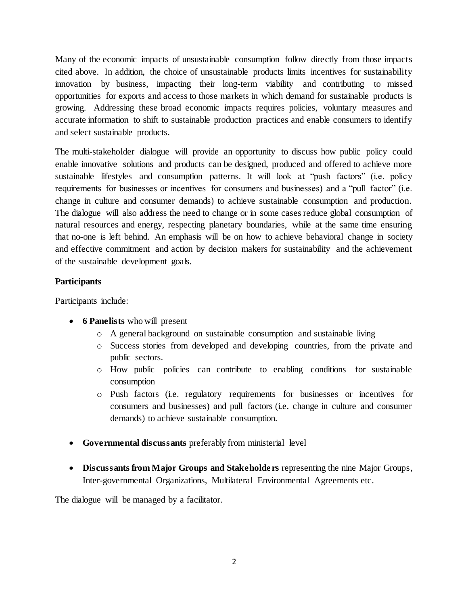Many of the economic impacts of unsustainable consumption follow directly from those impacts cited above. In addition, the choice of unsustainable products limits incentives for sustainability innovation by business, impacting their long-term viability and contributing to missed opportunities for exports and access to those markets in which demand for sustainable products is growing. Addressing these broad economic impacts requires policies, voluntary measures and accurate information to shift to sustainable production practices and enable consumers to identify and select sustainable products.

The multi-stakeholder dialogue will provide an opportunity to discuss how public policy could enable innovative solutions and products can be designed, produced and offered to achieve more sustainable lifestyles and consumption patterns. It will look at "push factors" (i.e. policy requirements for businesses or incentives for consumers and businesses) and a "pull factor" (i.e. change in culture and consumer demands) to achieve sustainable consumption and production. The dialogue will also address the need to change or in some cases reduce global consumption of natural resources and energy, respecting planetary boundaries, while at the same time ensuring that no-one is left behind. An emphasis will be on how to achieve behavioral change in society and effective commitment and action by decision makers for sustainability and the achievement of the sustainable development goals.

## **Participants**

Participants include:

- **6 Panelists** who will present
	- o A general background on sustainable consumption and sustainable living
	- o Success stories from developed and developing countries, from the private and public sectors.
	- o How public policies can contribute to enabling conditions for sustainable consumption
	- o Push factors (i.e. regulatory requirements for businesses or incentives for consumers and businesses) and pull factors (i.e. change in culture and consumer demands) to achieve sustainable consumption.
- **Governmental discussants** preferably from ministerial level
- **Discussants from Major Groups and Stakeholde rs** representing the nine Major Groups, Inter-governmental Organizations, Multilateral Environmental Agreements etc.

The dialogue will be managed by a facilitator.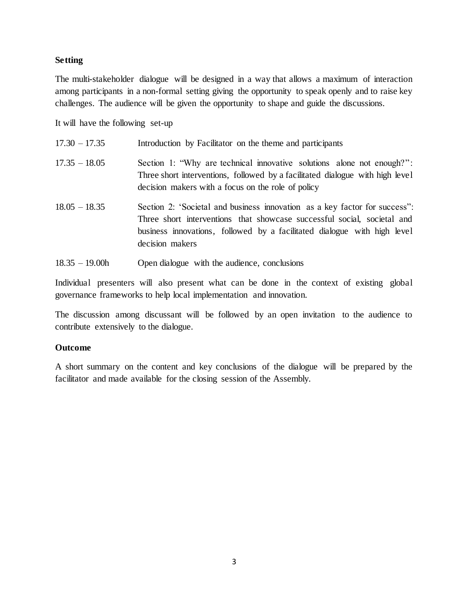#### **Setting**

The multi-stakeholder dialogue will be designed in a way that allows a maximum of interaction among participants in a non-formal setting giving the opportunity to speak openly and to raise key challenges. The audience will be given the opportunity to shape and guide the discussions.

It will have the following set-up

| $17.30 - 17.35$ | Introduction by Facilitator on the theme and participants                                                                                                                                                                                            |
|-----------------|------------------------------------------------------------------------------------------------------------------------------------------------------------------------------------------------------------------------------------------------------|
| $17.35 - 18.05$ | Section 1: "Why are technical innovative solutions alone not enough?":<br>Three short interventions, followed by a facilitated dialogue with high level<br>decision makers with a focus on the role of policy                                        |
| $18.05 - 18.35$ | Section 2: 'Societal and business innovation as a key factor for success':<br>Three short interventions that showcase successful social, societal and<br>business innovations, followed by a facilitated dialogue with high level<br>decision makers |

18.35 – 19.00h Open dialogue with the audience, conclusions

Individual presenters will also present what can be done in the context of existing global governance frameworks to help local implementation and innovation.

The discussion among discussant will be followed by an open invitation to the audience to contribute extensively to the dialogue.

### **Outcome**

A short summary on the content and key conclusions of the dialogue will be prepared by the facilitator and made available for the closing session of the Assembly.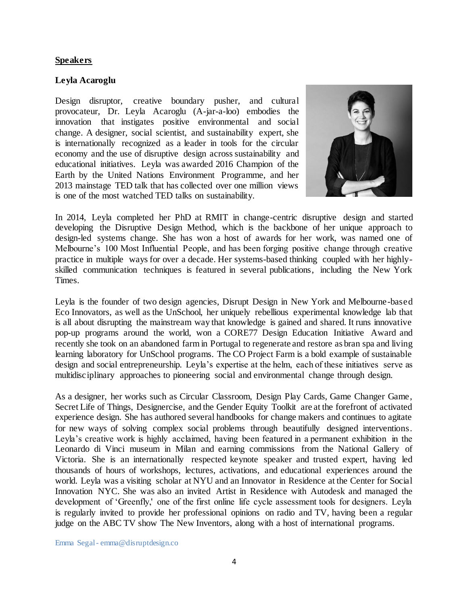#### **Speakers**

#### **Leyla Acaroglu**

Design disruptor, creative boundary pusher, and cultural provocateur, Dr. Leyla Acaroglu (A-jar-a-loo) embodies the innovation that instigates positive environmental and social change. A designer, social scientist, and sustainability expert, she is internationally recognized as a leader in tools for the circular economy and the use of disruptive design across sustainability and educational initiatives. Leyla was awarded 2016 Champion of the Earth by the United Nations Environment Programme, and her 2013 mainstage TED talk that has collected over one million views is one of the most watched TED talks on sustainability.



In 2014, Leyla completed her PhD at RMIT in change-centric disruptive design and started developing the Disruptive Design Method, which is the backbone of her unique approach to design-led systems change. She has won a host of awards for her work, was named one of Melbourne's 100 Most Influential People, and has been forging positive change through creative practice in multiple ways for over a decade. Her systems-based thinking coupled with her highlyskilled communication techniques is featured in several publications, including the New York Times.

Leyla is the founder of two design agencies, Disrupt Design in New York and Melbourne-based Eco Innovators, as well as the UnSchool, her uniquely rebellious experimental knowledge lab that is all about disrupting the mainstream way that knowledge is gained and shared. It runs innovative pop-up programs around the world, won a CORE77 Design Education Initiative Award and recently she took on an abandoned farm in Portugal to regenerate and restore as bran spa and living learning laboratory for UnSchool programs. The CO Project Farm is a bold example of sustainable design and social entrepreneurship. Leyla's expertise at the helm, each of these initiatives serve as multidisciplinary approaches to pioneering social and environmental change through design.

As a designer, her works such as Circular Classroom, Design Play Cards, Game Changer Game, Secret Life of Things, Designercise, and the Gender Equity Toolkit are at the forefront of activated experience design. She has authored several handbooks for change makers and continues to agitate for new ways of solving complex social problems through beautifully designed interventions. Leyla's creative work is highly acclaimed, having been featured in a permanent exhibition in the Leonardo di Vinci museum in Milan and earning commissions from the National Gallery of Victoria. She is an internationally respected keynote speaker and trusted expert, having led thousands of hours of workshops, lectures, activations, and educational experiences around the world. Leyla was a visiting scholar at NYU and an Innovator in Residence at the Center for Social Innovation NYC. She was also an invited Artist in Residence with Autodesk and managed the development of 'Greenfly,' one of the first online life cycle assessment tools for designers. Leyla is regularly invited to provide her professional opinions on radio and TV, having been a regular judge on the ABC TV show The New Inventors, along with a host of international programs.

Emma Segal - emma@disruptdesign.co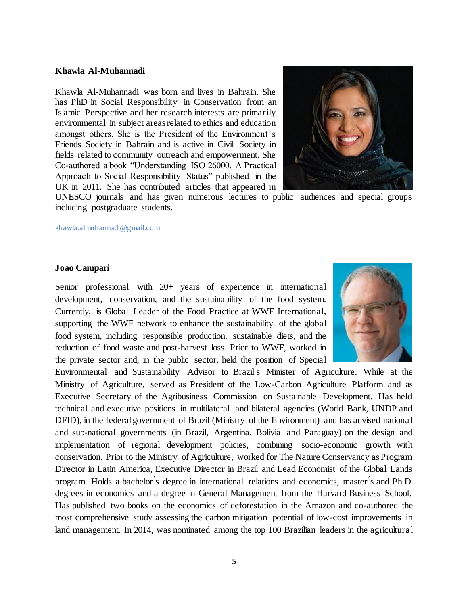#### **Khawla Al-Muhannadi**

Khawla Al-Muhannadi was born and lives in Bahrain. She has PhD in Social Responsibility in Conservation from an Islamic Perspective and her research interests are primarily environmental in subject areas related to ethics and education amongst others. She is the President of the Environment's Friends Society in Bahrain and is active in Civil Society in fields related to community outreach and empowerment. She Co-authored a book "Understanding ISO 26000. A Practical Approach to Social Responsibility Status" published in the UK in 2011. She has contributed articles that appeared in



UNESCO journals and has given numerous lectures to public audiences and special groups including postgraduate students.

[khawla.almuhannadi@gmail.com](mailto:khawla.almuhannadi@gmail.com)

#### **Joao Campari**

Senior professional with 20+ years of experience in international development, conservation, and the sustainability of the food system. Currently, is Global Leader of the Food Practice at WWF International, supporting the WWF network to enhance the sustainability of the global food system, including responsible production, sustainable diets, and the reduction of food waste and post-harvest loss. Prior to WWF, worked in the private sector and, in the public sector, held the position of Special



Environmental and Sustainability Advisor to Brazil ́s Minister of Agriculture. While at the Ministry of Agriculture, served as President of the Low-Carbon Agriculture Platform and as Executive Secretary of the Agribusiness Commission on Sustainable Development. Has held technical and executive positions in multilateral and bilateral agencies (World Bank, UNDP and DFID), in the federal government of Brazil (Ministry of the Environment) and has advised national and sub-national governments (in Brazil, Argentina, Bolivia and Paraguay) on the design and implementation of regional development policies, combining socio-economic growth with conservation. Prior to the Ministry of Agriculture, worked for The Nature Conservancy as Program Director in Latin America, Executive Director in Brazil and Lead Economist of the Global Lands program. Holds a bachelor ́s degree in international relations and economics, master ́s and Ph.D. degrees in economics and a degree in General Management from the Harvard Business School. Has published two books on the economics of deforestation in the Amazon and co-authored the most comprehensive study assessing the carbon mitigation potential of low-cost improvements in land management. In 2014, was nominated among the top 100 Brazilian leaders in the agricultural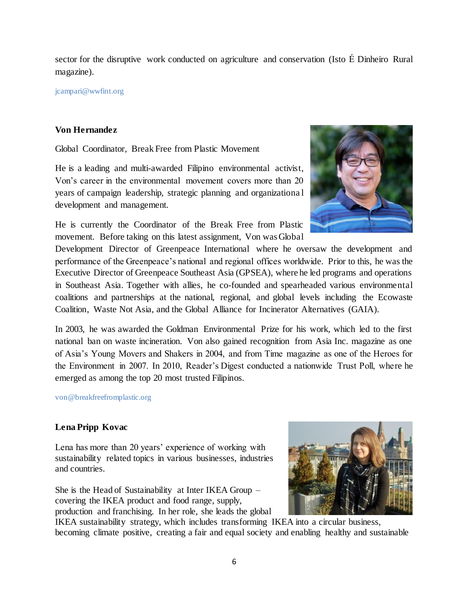sector for the disruptive work conducted on agriculture and conservation (Isto É Dinheiro Rural magazine).

[jcampari@wwfint.org](mailto:jcampari@wwfint.org)

## **Von Hernandez**

Global Coordinator, Break Free from Plastic Movement

He is a leading and multi-awarded Filipino environmental activist, Von's career in the environmental movement covers more than 20 years of campaign leadership, strategic planning and organizationa l development and management.

He is currently the Coordinator of the Break Free from Plastic movement. Before taking on this latest assignment, Von was Global



Development Director of Greenpeace International where he oversaw the development and performance of the Greenpeace's national and regional offices worldwide. Prior to this, he was the Executive Director of Greenpeace Southeast Asia (GPSEA), where he led programs and operations in Southeast Asia. Together with allies, he co-founded and spearheaded various environmental coalitions and partnerships at the national, regional, and global levels including the Ecowaste Coalition, Waste Not Asia, and the Global Alliance for Incinerator Alternatives (GAIA).

In 2003, he was awarded the Goldman Environmental Prize for his work, which led to the first national ban on waste incineration. Von also gained recognition from Asia Inc. magazine as one of Asia's Young Movers and Shakers in 2004, and from Time magazine as one of the Heroes for the Environment in 2007. In 2010, Reader's Digest conducted a nationwide Trust Poll, where he emerged as among the top 20 most trusted Filipinos.

[von@breakfreefromplastic.org](mailto:von@breakfreefromplastic.org)

# **Lena Pripp Kovac**

Lena has more than 20 years' experience of working with sustainability related topics in various businesses, industries and countries.

She is the Head of Sustainability at Inter IKEA Group – covering the IKEA product and food range, supply, production and franchising. In her role, she leads the global



IKEA sustainability strategy, which includes transforming IKEA into a circular business, becoming climate positive, creating a fair and equal society and enabling healthy and sustainable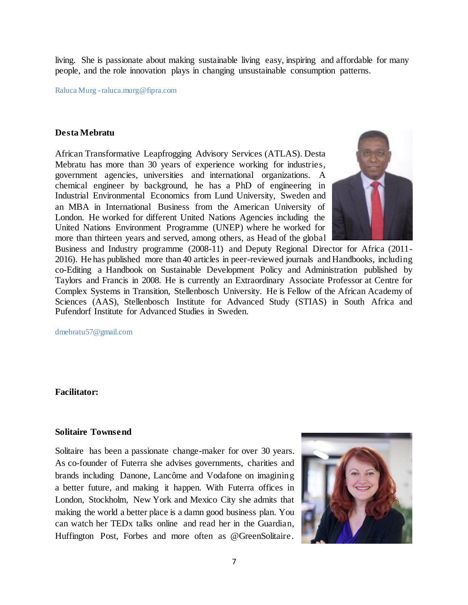living. She is passionate about making sustainable living easy, inspiring and affordable for many people, and the role innovation plays in changing unsustainable consumption patterns.

Raluca Murg -raluca.murg@fipra.com

#### **Desta Mebratu**

African Transformative Leapfrogging Advisory Services (ATLAS). Desta Mebratu has more than 30 years of experience working for industries, government agencies, universities and international organizations. A chemical engineer by background, he has a PhD of engineering in Industrial Environmental Economics from Lund University, Sweden and an MBA in International Business from the American University of London. He worked for different United Nations Agencies including the United Nations Environment Programme (UNEP) where he worked for more than thirteen years and served, among others, as Head of the global



Business and Industry programme (2008-11) and Deputy Regional Director for Africa (2011- 2016). He has published more than 40 articles in peer-reviewed journals and Handbooks, including co-Editing a Handbook on Sustainable Development Policy and Administration published by Taylors and Francis in 2008. He is currently an Extraordinary Associate Professor at Centre for Complex Systems in Transition, Stellenbosch University. He is Fellow of the African Academy of Sciences (AAS), Stellenbosch Institute for Advanced Study (STIAS) in South Africa and Pufendorf Institute for Advanced Studies in Sweden.

dmebratu57@gmail.com

### **Facilitator:**

#### **Solitaire Townsend**

Solitaire has been a passionate change-maker for over 30 years. As co-founder of Futerra she advises governments, charities and brands including Danone, Lancôme and Vodafone on imagining a better future, and making it happen. With Futerra offices in London, Stockholm, New York and Mexico City she admits that making the world a better place is a damn good business plan. You can watch her TEDx talks online and read her in the Guardian, Huffington Post, Forbes and more often as @GreenSolitaire.